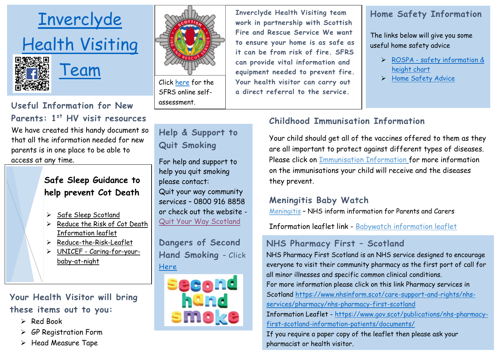

# **Useful Information for New Parents: 1st HV visit resources**

We have created this handy document so that all the information needed for new parents is in one place to be able to access at any time.

## **Safe Sleep Guidance to help prevent Cot Death**

- $\triangleright$  [Safe Sleep Scotland](https://safesleepscotland.org/)
- $\triangleright$  Reduce the Risk of Cot Death [Information leaflet](https://www2.gov.scot/resource/doc/175930/0049530.pdf)
- $\triangleright$  [Reduce-the-Risk-Leaflet](https://safesleepscotland.org/wp-content/uploads/2019/03/535-SCDT-Reduce-the-Risk-Leaflet-R4.pdf)
- UNICEF [Caring-for-your](https://www.unicef.org.uk/babyfriendly/wp-content/uploads/sites/2/2018/08/Caring-for-your-baby-at-night-web.pdf)[baby-at-night](https://www.unicef.org.uk/babyfriendly/wp-content/uploads/sites/2/2018/08/Caring-for-your-baby-at-night-web.pdf)

**Your Health Visitor will bring these items out to you:**

- $\triangleright$  Red Book
- GP Registration Form
- $\triangleright$  Head Measure Tape



Click [here](https://www.firescotland.gov.uk/your-safety/online-hfsv-checker.aspx) for the SFRS online selfassessment.

**Help & Support to Quit Smoking**

For help and support to help you quit smoking please contact: Quit your way community services – 0800 916 8858 or check out the website - [Quit Your Way Scotland](https://www.nhsinform.scot/campaigns/quit-your-way-scotland)

**Dangers of Second Hand Smoking** – Click [Here](https://www.nhsinform.scot/campaigns/take-it-right-outside)



**Inverclyde Health Visiting team work in partnership with Scottish Fire and Rescue Service We want to ensure your home is as safe as it can be from risk of fire. SFRS can provide vital information and equipment needed to prevent fire. Your health visitor can carry out a direct referral to the service.** 

## **Home Safety Information**

The links below will give you some useful home safety advice

- ROSPA [safety information &](https://www.rospa.com/rospaweb/docs/campaigns-fundraising/height-chart.pdf)  [height chart](https://www.rospa.com/rospaweb/docs/campaigns-fundraising/height-chart.pdf)
- > [Home Safety Advice](https://www.rospa.com/home-safety/Advice.aspx)

# **Childhood Immunisation Information**

Your child should get all of the vaccines offered to them as they are all important to protect against different types of diseases. Please click on [Immunisation Information](http://www.healthscotland.com/uploads/documents/6016-__Protect%20your%20child%20against%20serious%20diseases-Jan2020-English.pdf) for more information on the immunisations your child will receive and the diseases they prevent.

## **Meningitis Baby Watch**

[Meningitis](https://www.nhsinform.scot/illnesses-and-conditions/infections-and-poisoning/meningitis) – NHS inform information for Parents and Carers

Information leaflet link - [Babywatch information leaflet](https://www.meningitis.org/getmedia/f14a583a-f137-48a5-8321-d007db5ffaf5/Babywatch-Poster-Dec-2017)

# **NHS Pharmacy First – Scotland**

NHS Pharmacy First Scotland is an NHS service designed to encourage everyone to visit their community pharmacy as the first port of call for all minor illnesses and specific common clinical conditions.

For more information please click on this link Pharmacy services in Scotland [https://www.nhsinform.scot/care-support-and-rights/nhs](https://www.nhsinform.scot/care-support-and-rights/nhs-services/pharmacy/nhs-pharmacy-first-scotland)[services/pharmacy/nhs-pharmacy-first-scotland](https://www.nhsinform.scot/care-support-and-rights/nhs-services/pharmacy/nhs-pharmacy-first-scotland)

Information Leaflet - [https://www.gov.scot/publications/nhs-pharmacy](https://www.gov.scot/publications/nhs-pharmacy-first-scotland-information-patients/documents/)[first-scotland-information-patients/documents/](https://www.gov.scot/publications/nhs-pharmacy-first-scotland-information-patients/documents/)

If you require a paper copy of the leaflet then please ask your pharmacist or health visitor.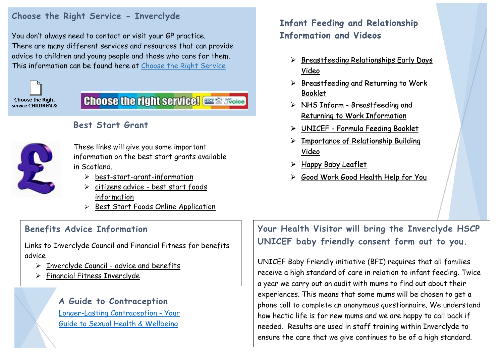#### **Choose the Right Service - Inverclyde**

You don't always need to contact or visit your GP practice. There are many different services and resources that can provide advice to children and young people and those who care for them. This information can be found here at [Choose the Right Service](https://www.inverclyde.gov.uk/health-and-social-care/health-services-health-improvement-wellbeing/choose-the-right-service)



# **Choose the right service! ISSENT Store**



#### **Best Start Grant**

These links will give you some important information on the best start grants available in Scotland.

- $\triangleright$  [best-start-grant-information](https://www.mygov.scot/best-start-grant-best-start-foods/)
- citizens advice [best start foods](https://www.citizensadvice.org.uk/scotland/benefits/help-if-on-a-low-income/best-start-grant/best-start-foods/best-start-foods/)  [information](https://www.citizensadvice.org.uk/scotland/benefits/help-if-on-a-low-income/best-start-grant/best-start-foods/best-start-foods/)
- $\triangleright$  [Best Start Foods Online Application](https://applications.socialsecurity.gov.scot/beststartgrant#help_us_work_out_if_you_can_get_best_start_grant_and_best_start_foods)

## **Benefits Advice Information**

Links to Inverclyde Council and Financial Fitness for benefits advice

- $\triangleright$  [Inverclyde Council -](https://www.inverclyde.gov.uk/advice-and-benefits) advice and benefits
- [Financial Fitness Inverclyde](http://www.financialfitness.ik.com/)

**A Guide to Contraception** [Longer-Lasting Contraception -](http://www.healthscotland.com/uploads/documents/3521-__LARC%20leaflet-October2019-English.pdf) Your [Guide to Sexual Health & Wellbeing](http://www.healthscotland.com/uploads/documents/3521-__LARC%20leaflet-October2019-English.pdf)

## Infant Feeding and Relationship<br>Information and Videos **Information and Videos**

- $\triangleright$  Breastfeeding Relationships Early Days [Video](https://www.unicef.org.uk/babyfriendly/baby-friendly-resources/breastfeeding-resources/breastfeeding-relationships-early-days-video/)
- $\triangleright$  Breastfeeding and Returning to Work [Booklet](http://www.healthscotland.com/uploads/documents/21774-Breastfeeding%20and%20returning%20to%20work-May2019-English.pdf)
- NHS Inform [Breastfeeding and](https://www.nhsinform.scot/translations/formats/audio/breastfeeding-and-returning-to-work)  [Returning to Work Information](https://www.nhsinform.scot/translations/formats/audio/breastfeeding-and-returning-to-work)
- UNICEF [Formula Feeding Booklet](http://www.healthscotland.com/uploads/documents/5523-__Formula%20feeding%20booklet-Jan2020-English.pdf)
- $\triangleright$  Importance of Relationship Building [Video](https://www.unicef.org.uk/babyfriendly/baby-friendly-resources/relationship-building-resources/importance-of-relationship-building-video/)
- $\triangleright$  [Happy Baby Leaflet](https://www.unicef.org.uk/babyfriendly/wp-content/uploads/sites/2/2018/04/happybaby_leaflet_web.pdf)
- [Good Work Good Health Help for You](https://www.nhsggc.org.uk/media/253390/nhsggc_ph_good_work_good_health_zcard_2018-09.pdf)

**Your Health Visitor will bring the Inverclyde HSCP UNICEF baby friendly consent form out to you.**

UNICEF Baby Friendly initiative (BFI) requires that all families receive a high standard of care in relation to infant feeding. Twice a year we carry out an audit with mums to find out about their experiences. This means that some mums will be chosen to get a phone call to complete an anonymous questionnaire. We understand how hectic life is for new mums and we are happy to call back if needed. Results are used in staff training within Inverclyde to ensure the care that we give continues to be of a high standard.